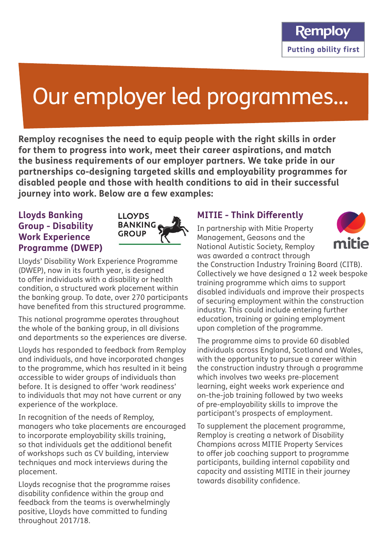# Our employer led programmes...

**Remploy recognises the need to equip people with the right skills in order for them to progress into work, meet their career aspirations, and match the business requirements of our employer partners. We take pride in our partnerships co-designing targeted skills and employability programmes for disabled people and those with health conditions to aid in their successful journey into work. Below are a few examples:**

### **Lloyds Banking Group - Disability Work Experience Programme (DWEP)**



Lloyds' Disability Work Experience Programme (DWEP), now in its fourth year, is designed to offer individuals with a disability or health condition, a structured work placement within the banking group. To date, over 270 participants have benefited from this structured programme.

This national programme operates throughout the whole of the banking group, in all divisions and departments so the experiences are diverse.

Lloyds has responded to feedback from Remploy and individuals, and have incorporated changes to the programme, which has resulted in it being accessible to wider groups of individuals than before. It is designed to offer 'work readiness' to individuals that may not have current or any experience of the workplace.

In recognition of the needs of Remploy, managers who take placements are encouraged to incorporate employability skills training, so that individuals get the additional benefit of workshops such as CV building, interview techniques and mock interviews during the placement.

Lloyds recognise that the programme raises disability confidence within the group and feedback from the teams is overwhelmingly positive, Lloyds have committed to funding throughout 2017/18.

# **MITIE - Think Differently**

In partnership with Mitie Property Management, Geasons and the National Autistic Society, Remploy was awarded a contract through



the Construction Industry Training Board (CITB). Collectively we have designed a 12 week bespoke training programme which aims to support disabled individuals and improve their prospects of securing employment within the construction industry. This could include entering further education, training or gaining employment upon completion of the programme.

The programme aims to provide 60 disabled individuals across England, Scotland and Wales, with the opportunity to pursue a career within the construction industry through a programme which involves two weeks pre-placement learning, eight weeks work experience and on-the-job training followed by two weeks of pre-employability skills to improve the participant's prospects of employment.

To supplement the placement programme, Remploy is creating a network of Disability Champions across MITIE Property Services to offer job coaching support to programme participants, building internal capability and capacity and assisting MITIE in their journey towards disability confidence.